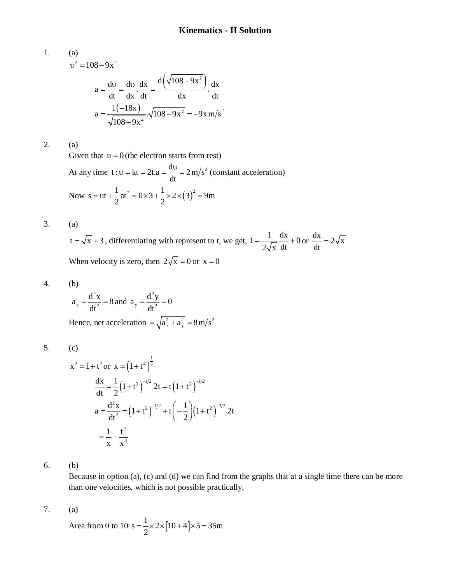1. (a)  
\n
$$
v^{2} = 108 - 9x^{2}
$$
\n
$$
a = \frac{dv}{dt} = \frac{dv}{dx} \cdot \frac{dx}{dt} = \frac{d(\sqrt{108 - 9x^{2}})}{dx} \cdot \frac{dx}{dt}
$$
\n
$$
a = \frac{1(-18x)}{\sqrt{108 - 9x^{2}}} \cdot \sqrt{108 - 9x^{2}} = -9x \text{ m/s}^{2}
$$

2. (a)

Given that  $u = 0$  (the electron starts from rest)

At any time  $t : v = kt = 2t.a = \frac{dv}{dt} = 2 m/s^2$ dt  $v = kt = 2t.a = \frac{dv}{dt} = 2 m/s^2$  (constant acceleration) Now  $s = ut + \frac{1}{2}at^2 = 0 \times 3 + \frac{1}{2} \times 2 \times (3)^2 = 9m$ 2 2  $=$  ut +  $\frac{1}{2}$  at  $\frac{1}{2}$  = 0 × 3 +  $\frac{1}{2}$  × 2 × (3)<sup>2</sup> = 9

3. (a)

 $t = \sqrt{x} + 3$ , differentiating with represent to t, we get,  $1 = \frac{1}{\sqrt{x}} + \frac{dx}{y} + 0$  $2\sqrt{x}$  dt  $=\frac{1}{\sqrt{2}}\frac{dx}{dx}+0$  or  $\frac{dx}{dx}=2\sqrt{x}$ dt  $=$ When velocity is zero, then  $2\sqrt{x} = 0$  or  $x = 0$ 

$$
4. \qquad \quad \text{(b)}
$$

$$
a_x = \frac{d^2x}{dt^2} = 8
$$
 and  $a_y = \frac{d^2y}{dt^2} = 0$ 

Hence, net acceleration  $= \sqrt{a_x^2 + a_y^2} = 8 \text{ m/s}^2$ 

$$
5. (c)
$$

$$
x^{2} = 1 + t^{2} \text{ or } x = (1 + t^{2})^{\frac{1}{2}}
$$
  
\n
$$
\frac{dx}{dt} = \frac{1}{2} (1 + t^{2})^{-1/2} 2t = t (1 + t^{2})^{-1/2}
$$
  
\n
$$
a = \frac{d^{2}x}{dt^{2}} = (1 + t^{2})^{-1/2} + t \left(-\frac{1}{2}\right) (1 + t^{2})^{-3/2} 2t
$$
  
\n
$$
= \frac{1}{x} - \frac{t^{2}}{x^{3}}
$$

6. (b)

Because in option (a), (c) and (d) we can find from the graphs that at a single time there can be more than one velocities, which is not possible practically.

7. (a)

Area from 0 to 10 s =  $\frac{1}{2}$  × 2 × [10 + 4] × 5 = 35m 2  $=\frac{1}{2} \times 2 \times [10+4] \times 5 = 3$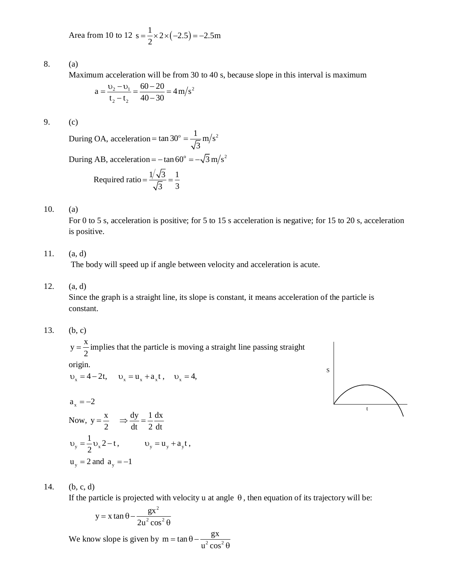Area from 10 to 12 s = 
$$
\frac{1}{2}
$$
 × 2 × (-2.5) = -2.5m

8. (a)

Maximum acceleration will be from 30 to 40 s, because slope in this interval is maximum

$$
a = \frac{v_2 - v_1}{t_2 - t_2} = \frac{60 - 20}{40 - 30} = 4 \text{ m/s}^2
$$

9. (c)

During OA, acceleration = tan 30° =  $\frac{1}{\sqrt{5}}$  m/s<sup>2</sup> 3  $=$  tan 30 $^{\circ}$  = -During AB, acceleration =  $-\tan 60^\circ = -\sqrt{3} \text{ m/s}^2$ 

Required ratio 
$$
=
$$
  $\frac{1/\sqrt{3}}{\sqrt{3}} = \frac{1}{3}$ 

10. (a)

For 0 to 5 s, acceleration is positive; for 5 to 15 s acceleration is negative; for 15 to 20 s, acceleration is positive.

11. (a, d)

The body will speed up if angle between velocity and acceleration is acute.

12. (a, d)

Since the graph is a straight line, its slope is constant, it means acceleration of the particle is constant.

13. (b, c)

 $y = \frac{x}{2}$ 2  $=\frac{1}{2}$  implies that the particle is moving a straight line passing straight

origin.

 $v_x = 4 - 2t$ ,  $v_x = u_x + a_x t$ ,  $v_x = 4$ ,

$$
a_x=-2
$$

Now, 
$$
y = \frac{x}{2}
$$
  $\Rightarrow \frac{dy}{dt} = \frac{1}{2} \frac{dx}{dt}$   
\n $v_y = \frac{1}{2} v_x 2 - t$ ,  $v_y = u_y + a_y t$ ,  
\n $u_y = 2$  and  $a_y = -1$ 

S t

14. (b, c, d)

If the particle is projected with velocity u at angle  $\theta$ , then equation of its trajectory will be:

$$
y = x \tan \theta - \frac{gx^2}{2u^2 \cos^2 \theta}
$$

We know slope is given by  $m = \tan \theta - \frac{gx}{r^2 \cos^2 \theta}$  $u^2$  cos  $=$  tan  $\theta$  – –  $\theta$